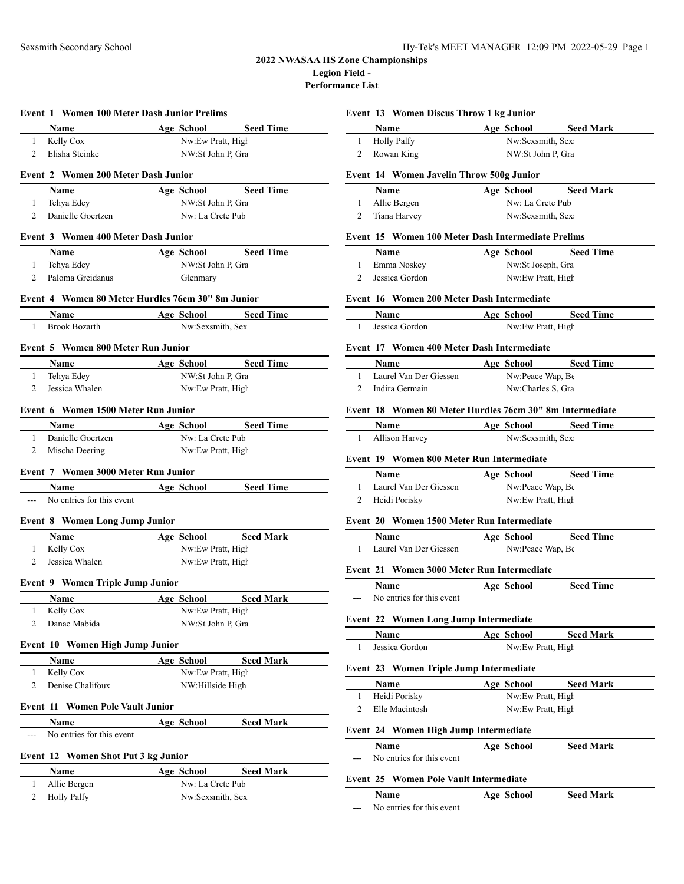### **2022 NWASAA HS Zone Championships Legion Field -**

**Performance List**

|                | Name                                              |            |                                       | Age School Seed Time |
|----------------|---------------------------------------------------|------------|---------------------------------------|----------------------|
| $\mathbf{1}$   | Kelly Cox                                         |            | Nw:Ew Pratt, High                     |                      |
| 2              | Elisha Steinke                                    |            | NW:St John P, Gra                     |                      |
|                |                                                   |            |                                       |                      |
|                | Event 2 Women 200 Meter Dash Junior               |            |                                       |                      |
|                | Name                                              |            | Age School                            | <b>Seed Time</b>     |
| 1              | Tehya Edey                                        |            | NW:St John P, Gra                     |                      |
| 2              | Danielle Goertzen                                 |            | Nw: La Crete Pub                      |                      |
|                | Event 3 Women 400 Meter Dash Junior               |            |                                       |                      |
|                | Name                                              |            | Age School                            | <b>Seed Time</b>     |
| 1              | Tehya Edey                                        |            | NW:St John P, Gra                     |                      |
| 2              | Paloma Greidanus                                  |            | Glenmary                              |                      |
|                | Event 4 Women 80 Meter Hurdles 76cm 30" 8m Junior |            |                                       |                      |
|                |                                                   |            |                                       |                      |
| 1              | <b>Name</b><br><b>Brook Bozarth</b>               |            | Nw:Sexsmith, Sex                      | Age School Seed Time |
|                |                                                   |            |                                       |                      |
|                | Event 5 Women 800 Meter Run Junior                |            |                                       |                      |
|                | Name                                              |            | Age School                            | <b>Seed Time</b>     |
| $\mathbf{1}$   | Tehya Edey                                        |            | NW:St John P, Gra                     |                      |
| 2              | Jessica Whalen                                    |            | Nw:Ew Pratt, High                     |                      |
|                | Event 6 Women 1500 Meter Run Junior               |            |                                       |                      |
|                |                                                   |            |                                       |                      |
|                | <b>Name</b><br>Danielle Goertzen                  |            | Age School<br>Nw: La Crete Pub        | <b>Seed Time</b>     |
| 1<br>2         |                                                   |            |                                       |                      |
|                | Mischa Deering                                    |            | Nw:Ew Pratt, High                     |                      |
|                | Event 7 Women 3000 Meter Run Junior               |            |                                       |                      |
|                |                                                   |            |                                       |                      |
|                | <b>Name</b>                                       | Age School |                                       | <b>Seed Time</b>     |
| ---            | No entries for this event                         |            |                                       |                      |
|                |                                                   |            |                                       |                      |
|                | Event 8 Women Long Jump Junior                    |            |                                       |                      |
|                | Name                                              |            |                                       | Age School Seed Mark |
| $\mathbf{1}$   | Kelly Cox                                         |            | Nw:Ew Pratt, High                     |                      |
| $\overline{2}$ | Jessica Whalen                                    |            | Nw:Ew Pratt, High                     |                      |
|                | <b>Event 9 Women Triple Jump Junior</b>           |            |                                       |                      |
|                | <u>Name</u>                                       |            | <u>Age School</u>                     | <b>Seed Mark</b>     |
| 1              | Kelly Cox                                         |            | Nw:Ew Pratt, High                     |                      |
| 2              | Danae Mabida                                      |            | NW:St John P, Gra                     |                      |
|                |                                                   |            |                                       |                      |
|                | Event 10 Women High Jump Junior                   |            |                                       |                      |
| 1              | Name<br>Kelly Cox                                 |            | Age School                            | <b>Seed Mark</b>     |
| 2              | Denise Chalifoux                                  |            | Nw:Ew Pratt, High<br>NW:Hillside High |                      |
|                |                                                   |            |                                       |                      |
|                | <b>Event 11 Women Pole Vault Junior</b>           |            |                                       |                      |
|                | Name                                              |            | Age School                            | <b>Seed Mark</b>     |
| $---$          | No entries for this event                         |            |                                       |                      |
|                |                                                   |            |                                       |                      |
|                | Event 12 Women Shot Put 3 kg Junior               |            |                                       |                      |
| $\mathbf{1}$   | Name<br>Allie Bergen                              |            | Age School<br>Nw: La Crete Pub        | <b>Seed Mark</b>     |

# **Event 13 Women Discus Throw 1 kg Junior**

| Name               | Age School        | <b>Seed Mark</b> |  |
|--------------------|-------------------|------------------|--|
| <b>Holly Palfy</b> | Nw:Sexsmith, Sex  |                  |  |
| Rowan King         | NW:St John P. Gra |                  |  |

#### **Event 14 Women Javelin Throw 500g Junior**

| <b>Name</b>    | Age School       | <b>Seed Mark</b> |
|----------------|------------------|------------------|
| 1 Allie Bergen | Nw: La Crete Pub |                  |
| 2 Tiana Harvey | Nw:Sexsmith, Sex |                  |

### **Event 15 Women 100 Meter Dash Intermediate Prelims**

| <b>Name</b>    | Age School        | <b>Seed Time</b> |  |
|----------------|-------------------|------------------|--|
| Emma Noskey    | Nw:St Joseph, Gra |                  |  |
| Jessica Gordon | Nw:Ew Pratt, High |                  |  |

### **Event 16 Women 200 Meter Dash Intermediate**

| <b>Name</b>    | Age School        | <b>Seed Time</b> |
|----------------|-------------------|------------------|
| Jessica Gordon | Nw:Ew Pratt, High |                  |

### **Event 17 Women 400 Meter Dash Intermediate**

| <b>Name</b>            | Age School             | <b>Seed Time</b> |
|------------------------|------------------------|------------------|
| Laurel Van Der Giessen | $Nw$ :Peace Wap, $B_6$ |                  |
| Indira Germain         | Nw:Charles S. Gra      |                  |

#### **Event 18 Women 80 Meter Hurdles 76cm 30" 8m Intermediate**

| <b>Name</b>    | Age School       | <b>Seed Time</b> |
|----------------|------------------|------------------|
| Allison Harvey | Nw:Sexsmith, Sex |                  |

#### **Event 19 Women 800 Meter Run Intermediate**

| <b>Name</b>            | Age School        | <b>Seed Time</b> |
|------------------------|-------------------|------------------|
| Laurel Van Der Giessen | Nw:Peace Wap, Be  |                  |
| Heidi Porisky          | Nw:Ew Pratt, High |                  |

#### **Event 20 Women 1500 Meter Run Intermediate**

| <b>Name</b>            | Age School              | <b>Seed Time</b> |
|------------------------|-------------------------|------------------|
| Laurel Van Der Giessen | $Nw$ : Peace Wap, $B_6$ |                  |

# **Event 21 Women 3000 Meter Run Intermediate**

|         | <b>Name</b>               | Age School | <b>Seed Time</b> |  |
|---------|---------------------------|------------|------------------|--|
| $- - -$ | No entries for this event |            |                  |  |

#### **Event 22 Women Long Jump Intermediate**

| Name.          | Age School        | <b>Seed Mark</b> |
|----------------|-------------------|------------------|
| Jessica Gordon | Nw:Ew Pratt, High |                  |

#### **Event 23 Women Triple Jump Intermediate**

| Name           | Age School        | <b>Seed Mark</b> |  |
|----------------|-------------------|------------------|--|
| Heidi Porisky  | Nw:Ew Pratt, High |                  |  |
| Elle Macintosh | Nw:Ew Pratt, High |                  |  |

#### **Event 24 Women High Jump Intermediate**

|       | Name                      | School<br>Age | <b>Seed Mark</b> |  |
|-------|---------------------------|---------------|------------------|--|
| $---$ | No entries for this event |               |                  |  |

### **Event 25 Women Pole Vault Intermediate**

 $\overline{\phantom{a}}$ 

|       | Name                      | Age School | <b>Seed Mark</b> |  |
|-------|---------------------------|------------|------------------|--|
| $---$ | No entries for this event |            |                  |  |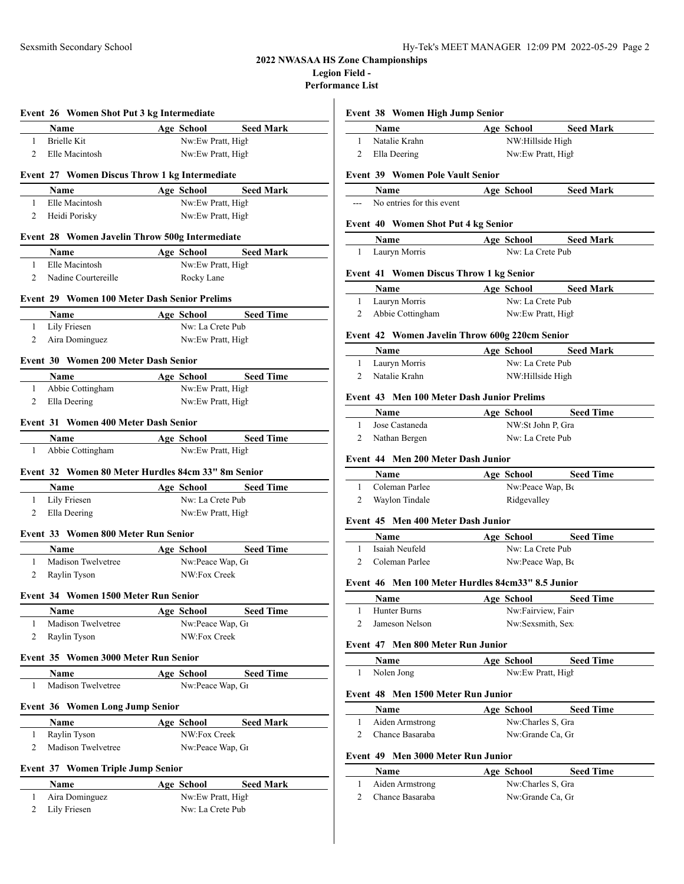# **2022 NWASAA HS Zone Championships Legion Field -**

Perform

|                                        |                                      | Event 26 Women Shot Put 3 kg Intermediate           |                  |              |                              |                                      |
|----------------------------------------|--------------------------------------|-----------------------------------------------------|------------------|--------------|------------------------------|--------------------------------------|
|                                        | <b>Name</b>                          |                                                     |                  | Age School   |                              | <b>Seed Mark</b>                     |
| $1 \quad$                              |                                      | <b>Brielle Kit</b>                                  |                  |              | Nw:Ew Pratt, High            |                                      |
| 2                                      |                                      | Elle Macintosh                                      |                  |              | Nw:Ew Pratt, High            |                                      |
|                                        |                                      | Event 27 Women Discus Throw 1 kg Intermediate       |                  |              |                              |                                      |
|                                        |                                      | <b>Name</b>                                         |                  | Age School   |                              | <b>Seed Mark</b>                     |
| 1                                      |                                      | Elle Macintosh                                      |                  |              | Nw:Ew Pratt, High            |                                      |
| 2                                      |                                      | Heidi Porisky                                       |                  |              | Nw:Ew Pratt, High            |                                      |
|                                        |                                      | Event 28 Women Javelin Throw 500g Intermediate      |                  |              |                              |                                      |
|                                        |                                      | <b>Name</b>                                         |                  | Age School   |                              | <b>Seed Mark</b>                     |
| 1                                      |                                      | Elle Macintosh                                      |                  |              | Nw:Ew Pratt, High            |                                      |
| 2                                      |                                      | Nadine Courtereille                                 |                  | Rocky Lane   |                              |                                      |
|                                        |                                      | <b>Event 29 Women 100 Meter Dash Senior Prelims</b> |                  |              |                              |                                      |
|                                        | Name                                 |                                                     |                  |              | Age School Seed Time         |                                      |
| 1                                      |                                      | Lily Friesen                                        |                  |              | Nw: La Crete Pub             |                                      |
| 2                                      |                                      | Aira Dominguez                                      |                  |              | Nw:Ew Pratt, High            |                                      |
|                                        | Event 30 Women 200 Meter Dash Senior |                                                     |                  |              |                              |                                      |
|                                        | <b>Name</b>                          |                                                     |                  | Age School   |                              | <b>Seed Time</b>                     |
| 1                                      |                                      | Abbie Cottingham                                    |                  |              | Nw:Ew Pratt, High            |                                      |
| 2                                      |                                      | Ella Deering                                        |                  |              | Nw:Ew Pratt, High            |                                      |
|                                        |                                      |                                                     |                  |              |                              |                                      |
|                                        |                                      | Event 31 Women 400 Meter Dash Senior                |                  |              |                              |                                      |
|                                        | Name                                 |                                                     |                  | Age School   |                              | <b>Seed Time</b>                     |
| 1                                      |                                      | Abbie Cottingham                                    |                  |              | Nw:Ew Pratt, High            |                                      |
|                                        |                                      | Event 32 Women 80 Meter Hurdles 84cm 33" 8m Senior  |                  |              |                              |                                      |
|                                        | Name                                 |                                                     |                  | Age School   |                              | <b>Seed Time</b>                     |
| $\mathbf{1}$                           |                                      |                                                     |                  |              |                              |                                      |
|                                        |                                      |                                                     | Nw: La Crete Pub |              |                              |                                      |
| Ella Deering<br>2<br>Nw:Ew Pratt, High |                                      |                                                     |                  |              |                              |                                      |
|                                        |                                      | Lily Friesen                                        |                  |              |                              |                                      |
|                                        |                                      | Event 33 Women 800 Meter Run Senior                 |                  |              |                              |                                      |
|                                        | <b>Name</b>                          |                                                     |                  | Age School   |                              |                                      |
| 1                                      |                                      | Madison Twelvetree                                  |                  |              | Nw:Peace Wap, G1             | <b>Seed Time</b>                     |
| 2                                      |                                      | Raylin Tyson                                        |                  | NW:Fox Creek |                              |                                      |
|                                        |                                      | Event 34 Women 1500 Meter Run Senior                |                  |              |                              |                                      |
|                                        | Name                                 |                                                     |                  | Age School   |                              |                                      |
| 1                                      |                                      | Madison Twelvetree                                  |                  |              | Nw:Peace Wap, G1             |                                      |
| 2                                      |                                      | Raylin Tyson                                        |                  | NW:Fox Creek |                              |                                      |
|                                        |                                      | Event 35 Women 3000 Meter Run Senior                |                  |              |                              |                                      |
|                                        |                                      |                                                     |                  |              |                              |                                      |
| 1                                      | Name                                 | Madison Twelvetree                                  |                  | Age School   | Nw:Peace Wap, G1             | <b>Seed Time</b>                     |
|                                        |                                      |                                                     |                  |              |                              |                                      |
|                                        |                                      | <b>Women Long Jump Senior</b>                       |                  |              |                              |                                      |
|                                        | Name                                 |                                                     |                  | Age School   |                              |                                      |
| 1                                      |                                      | Raylin Tyson                                        |                  | NW:Fox Creek |                              | <b>Seed Time</b><br><b>Seed Mark</b> |
| Event 36<br>2                          |                                      | Madison Twelvetree                                  |                  |              | Nw:Peace Wap, G <sub>1</sub> |                                      |
|                                        |                                      | <b>Event 37 Women Triple Jump Senior</b>            |                  |              |                              |                                      |
|                                        | Name                                 |                                                     |                  | Age School   |                              | <b>Seed Mark</b>                     |
| 1                                      |                                      | Aira Dominguez                                      |                  |              | Nw:Ew Pratt, High            |                                      |

|                             | Name                                              |                                       | Age School Seed Mark |
|-----------------------------|---------------------------------------------------|---------------------------------------|----------------------|
|                             | 1 Natalie Krahn                                   | NW:Hillside High                      |                      |
| $\overline{2}$              | Ella Deering                                      | Nw:Ew Pratt, High                     |                      |
|                             | <b>Event 39 Women Pole Vault Senior</b>           |                                       |                      |
|                             | <b>Name</b>                                       |                                       | Age School Seed Mark |
|                             | --- No entries for this event                     |                                       |                      |
|                             | <b>Event 40 Women Shot Put 4 kg Senior</b>        |                                       |                      |
|                             | Name                                              |                                       | Age School Seed Mark |
| 1                           | Lauryn Morris                                     | Nw: La Crete Pub                      |                      |
|                             | Event 41 Women Discus Throw 1 kg Senior           |                                       |                      |
|                             | <b>Name</b>                                       |                                       | Age School Seed Mark |
|                             | 1 Lauryn Morris                                   | Nw: La Crete Pub                      |                      |
| 2                           | Abbie Cottingham                                  | Nw:Ew Pratt, High                     |                      |
|                             | Event 42 Women Javelin Throw 600g 220cm Senior    |                                       |                      |
|                             | <b>Name</b>                                       |                                       | Age School Seed Mark |
|                             | 1 Lauryn Morris                                   | Nw: La Crete Pub                      |                      |
| $\mathbf{2}^{\prime}$       | Natalie Krahn                                     | NW:Hillside High                      |                      |
|                             | Event 43 Men 100 Meter Dash Junior Prelims        |                                       |                      |
|                             | <b>Name</b>                                       | Age School                            | <b>Seed Time</b>     |
| $\mathbf{1}$                | Jose Castaneda                                    | NW:St John P, Gra<br>Nw: La Crete Pub |                      |
| 2<br>Nathan Bergen          |                                                   |                                       |                      |
|                             |                                                   |                                       |                      |
|                             | Event 44 Men 200 Meter Dash Junior                |                                       |                      |
|                             | <b>Name</b>                                       |                                       | Age School Seed Time |
| $\mathbf{1}$                | Coleman Parlee                                    | Nw:Peace Wap, Be                      |                      |
| 2                           | Waylon Tindale                                    | Ridgevalley                           |                      |
|                             | Event 45 Men 400 Meter Dash Junior                |                                       |                      |
|                             | <b>Name</b>                                       |                                       | Age School Seed Time |
| $1 \quad$<br>$\overline{2}$ | Isaiah Neufeld<br>Coleman Parlee                  | Nw: La Crete Pub                      |                      |
|                             |                                                   | Nw:Peace Wap, Be                      |                      |
|                             | Event 46 Men 100 Meter Hurdles 84cm33" 8.5 Junior |                                       |                      |
|                             | <b>Name</b>                                       | Age School                            | <b>Seed Time</b>     |
| $\mathbf{1}$<br>2           | Hunter Burns<br>Jameson Nelson                    | Nw:Fairview, Fairv                    |                      |
|                             |                                                   | Nw:Sexsmith, Sex.                     |                      |
|                             | Event 47 Men 800 Meter Run Junior                 |                                       |                      |
| 1                           | Name<br>Nolen Jong                                | Age School<br>Nw:Ew Pratt, High       | <b>Seed Time</b>     |
|                             |                                                   |                                       |                      |
|                             | Event 48 Men 1500 Meter Run Junior                |                                       |                      |
| 1                           | Name                                              | Age School                            | <b>Seed Time</b>     |
| 2                           | Aiden Armstrong<br>Chance Basaraba                | Nw:Charles S, Gra<br>Nw:Grande Ca, Gr |                      |
|                             |                                                   |                                       |                      |
|                             | Event 49 Men 3000 Meter Run Junior                |                                       |                      |
|                             | Name                                              | Age School                            | <b>Seed Time</b>     |
| 1<br>2                      | Aiden Armstrong<br>Chance Basaraba                | Nw:Charles S, Gra<br>Nw:Grande Ca, Gr |                      |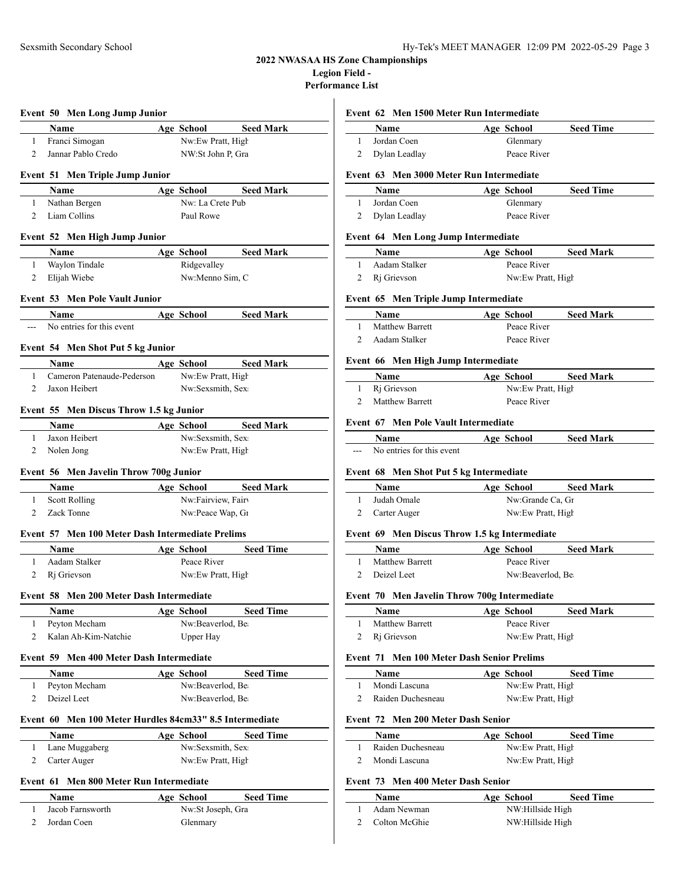# **2022 NWASAA HS Zone Championships Legion Field -**

**Performance List**

|                |             | <b>Event 50 Men Long Jump Junior</b>                    |                                       |                  |
|----------------|-------------|---------------------------------------------------------|---------------------------------------|------------------|
|                |             | Name                                                    | Age School                            | <b>Seed Mark</b> |
| 1              |             | Franci Simogan                                          | Nw:Ew Pratt, High                     |                  |
| 2              |             | Jannar Pablo Credo                                      | NW:St John P, Gra                     |                  |
|                |             | <b>Event 51 Men Triple Jump Junior</b>                  |                                       |                  |
|                | Name        |                                                         | Age School                            | <b>Seed Mark</b> |
| 1              |             | Nathan Bergen                                           | Nw: La Crete Pub                      |                  |
| 2              |             | Liam Collins                                            | Paul Rowe                             |                  |
|                |             |                                                         |                                       |                  |
|                |             | Event 52 Men High Jump Junior                           |                                       |                  |
|                | Name        |                                                         | Age School                            | <b>Seed Mark</b> |
| 1              |             | Waylon Tindale                                          | Ridgevalley                           |                  |
| 2              |             | Elijah Wiebe                                            | Nw:Menno Sim, C                       |                  |
|                |             | <b>Event 53 Men Pole Vault Junior</b>                   |                                       |                  |
|                | Name        |                                                         | Age School                            | <b>Seed Mark</b> |
|                |             | No entries for this event                               |                                       |                  |
|                |             | Event 54 Men Shot Put 5 kg Junior                       |                                       |                  |
|                | Name        |                                                         | Age School                            | <b>Seed Mark</b> |
| 1              |             | Cameron Patenaude-Pederson                              | Nw:Ew Pratt, High                     |                  |
| 2              |             | Jaxon Heibert                                           | Nw:Sexsmith, Sex                      |                  |
|                |             |                                                         |                                       |                  |
|                |             | Event 55 Men Discus Throw 1.5 kg Junior                 |                                       |                  |
|                | Name        |                                                         | Age School                            | <b>Seed Mark</b> |
| 1              |             | Jaxon Heibert                                           | Nw:Sexsmith, Sex                      |                  |
| 2              |             | Nolen Jong                                              | Nw:Ew Pratt, High                     |                  |
|                |             | Event 56 Men Javelin Throw 700g Junior                  |                                       |                  |
|                | <b>Name</b> |                                                         | Age School                            | <b>Seed Mark</b> |
| 1              |             | <b>Scott Rolling</b>                                    | Nw:Fairview, Fair                     |                  |
| 2              |             | Zack Tonne                                              | Nw:Peace Wap, G1                      |                  |
|                |             | Event 57 Men 100 Meter Dash Intermediate Prelims        |                                       |                  |
|                | Name        |                                                         | Age School                            | <b>Seed Time</b> |
| 1              |             | Aadam Stalker                                           | Peace River                           |                  |
| 2              |             | R <sub>i</sub> Grievson                                 | Nw:Ew Pratt, High                     |                  |
|                |             |                                                         |                                       |                  |
|                |             | Event 58 Men 200 Meter Dash Intermediate                |                                       |                  |
| 1              | Name        | Peyton Mecham                                           | <b>Age School</b><br>Nw:Beaverlod, Be | <b>Seed Time</b> |
| 2              |             | Kalan Ah-Kim-Natchie                                    | Upper Hay                             |                  |
|                |             |                                                         |                                       |                  |
|                |             | Event 59 Men 400 Meter Dash Intermediate                |                                       |                  |
|                | <b>Name</b> |                                                         | Age School                            | <b>Seed Time</b> |
| 1              |             | Peyton Mecham                                           | Nw:Beaverlod, Be                      |                  |
| 2              |             | Deizel Leet                                             | Nw:Beaverlod, Be                      |                  |
|                |             | Event 60 Men 100 Meter Hurdles 84cm33" 8.5 Intermediate |                                       |                  |
|                | <b>Name</b> |                                                         | Age School                            | <b>Seed Time</b> |
| 1              |             | Lane Muggaberg                                          | Nw:Sexsmith, Sex                      |                  |
| 2              |             | Carter Auger                                            | Nw:Ew Pratt, High                     |                  |
|                |             |                                                         |                                       |                  |
| Event 61       |             | <b>Men 800 Meter Run Intermediate</b>                   |                                       |                  |
| $\mathbf{1}$   | Name        | Jacob Farnsworth                                        | Age School                            | <b>Seed Time</b> |
| $\overline{c}$ |             | Jordan Coen                                             | Nw:St Joseph, Gra<br>Glenmary         |                  |
|                |             |                                                         |                                       |                  |

#### **Event 62 Men 1500 Meter Run Intermediate**

| Name            | Age School  | <b>Seed Time</b> |
|-----------------|-------------|------------------|
| Jordan Coen     | Glenmary    |                  |
| 2 Dylan Leadlay | Peace River |                  |

#### **Event 63 Men 3000 Meter Run Intermediate**

| Name          | Age School  | <b>Seed Time</b> |
|---------------|-------------|------------------|
| Jordan Coen   | Glenmary    |                  |
| Dylan Leadlay | Peace River |                  |

#### **Event 64 Men Long Jump Intermediate**

| Name          | <b>Seed Mark</b><br>Age School |  |
|---------------|--------------------------------|--|
| Aadam Stalker | Peace River                    |  |
| 2 Ri Grievson | Nw:Ew Pratt, High              |  |

### **Event 65 Men Triple Jump Intermediate**

| Name                   | Age School  | <b>Seed Mark</b> |
|------------------------|-------------|------------------|
| <b>Matthew Barrett</b> | Peace River |                  |
| Aadam Stalker          | Peace River |                  |

#### **Event 66 Men High Jump Intermediate**

| <b>Name</b>       | Age School        | <b>Seed Mark</b> |  |
|-------------------|-------------------|------------------|--|
| 1 Ri Grievson     | Nw:Ew Pratt, High |                  |  |
| 2 Matthew Barrett | Peace River       |                  |  |

#### **Event 67 Men Pole Vault Intermediate**

|     | Name                      | Age School | <b>Seed Mark</b> |  |
|-----|---------------------------|------------|------------------|--|
| --- | No entries for this event |            |                  |  |

# **Event 68 Men Shot Put 5 kg Intermediate**

| Name           | Age School        | <b>Seed Mark</b> |
|----------------|-------------------|------------------|
| Judah Omale    | Nw:Grande Ca, Gr  |                  |
| 2 Carter Auger | Nw:Ew Pratt, High |                  |

# **Event 69 Men Discus Throw 1.5 kg Intermediate**

| Name                   | Age School       | <b>Seed Mark</b> |  |
|------------------------|------------------|------------------|--|
| <b>Matthew Barrett</b> | Peace River      |                  |  |
| 2 Deizel Leet          | Nw:Beaverlod, Be |                  |  |

### **Event 70 Men Javelin Throw 700g Intermediate**

| <b>Name</b>            | Age School        | <b>Seed Mark</b> |
|------------------------|-------------------|------------------|
| <b>Matthew Barrett</b> | Peace River       |                  |
| 2 Ri Grievson          | Nw:Ew Pratt, High |                  |

#### **Event 71 Men 100 Meter Dash Senior Prelims**

| Name              | Age School        | <b>Seed Time</b> |
|-------------------|-------------------|------------------|
| Mondi Lascuna     | Nw:Ew Pratt, High |                  |
| Raiden Duchesneau | Nw:Ew Pratt, High |                  |

### **Event 72 Men 200 Meter Dash Senior**

 $\overline{\phantom{0}}$ 

| <b>Name</b>       | Age School        | <b>Seed Time</b> |  |
|-------------------|-------------------|------------------|--|
| Raiden Duchesneau | Nw:Ew Pratt, High |                  |  |
| Mondi Lascuna     | Nw:Ew Pratt, High |                  |  |

# **Event 73 Men 400 Meter Dash Senior**

| <b>Name</b>     | Age School       | <b>Seed Time</b> |  |
|-----------------|------------------|------------------|--|
| Adam Newman     | NW:Hillside High |                  |  |
| 2 Colton McGhie | NW:Hillside High |                  |  |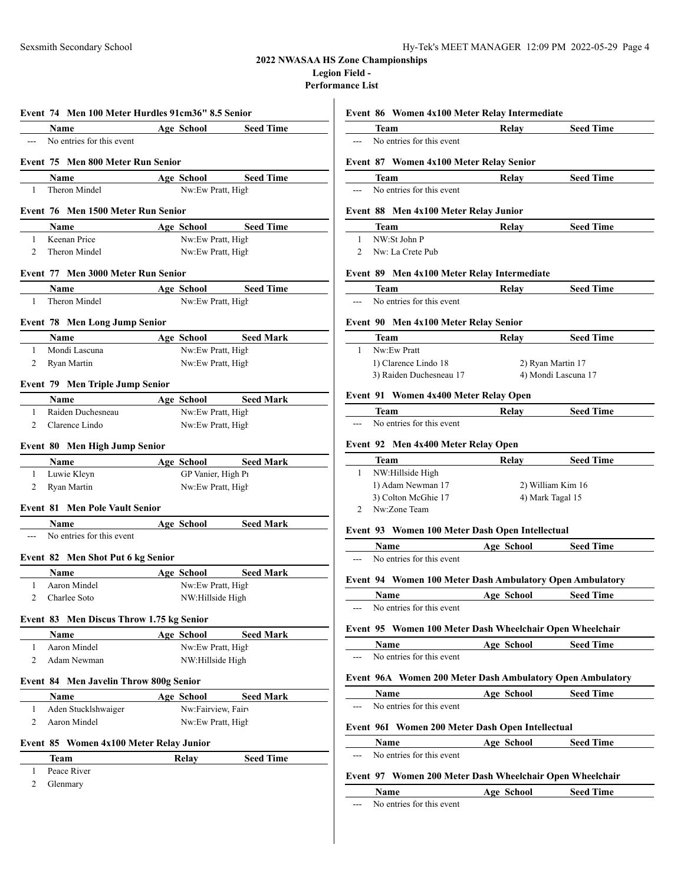# **2022 NWASAA HS Zone Championships**

**Legion Field -**

**Performance List**

 $\overline{a}$ 

|                |             | Event 74 Men 100 Meter Hurdles 91cm36" 8.5 Senior |                                 |                                                          |
|----------------|-------------|---------------------------------------------------|---------------------------------|----------------------------------------------------------|
|                | <b>Name</b> |                                                   | Age School                      | <b>Seed Time</b>                                         |
| $-$            |             | No entries for this event                         |                                 |                                                          |
|                |             | Event 75 Men 800 Meter Run Senior                 |                                 |                                                          |
|                | Name        |                                                   | Age School                      | <b>Seed Time</b>                                         |
| 1              |             | Theron Mindel                                     | Nw:Ew Pratt, High               |                                                          |
|                |             | Event 76 Men 1500 Meter Run Senior                |                                 |                                                          |
|                |             |                                                   |                                 |                                                          |
| $\mathbf{1}$   | <b>Name</b> | Keenan Price                                      | Nw:Ew Pratt, High               | Age School Seed Time                                     |
| 2              |             | Theron Mindel                                     | Nw:Ew Pratt, High               |                                                          |
|                |             |                                                   |                                 |                                                          |
|                |             | Event 77 Men 3000 Meter Run Senior                |                                 |                                                          |
|                | <b>Name</b> |                                                   | Age School                      | <b>Seed Time</b>                                         |
| 1              |             | Theron Mindel                                     | Nw:Ew Pratt, High               |                                                          |
|                |             | <b>Event 78 Men Long Jump Senior</b>              |                                 |                                                          |
|                | Name        |                                                   | Age School                      | <b>Seed Mark</b>                                         |
| $\mathbf{1}$   |             | Mondi Lascuna                                     | Nw:Ew Pratt, High               |                                                          |
| 2              |             | Ryan Martin                                       | Nw:Ew Pratt, High               |                                                          |
|                |             | <b>Event 79 Men Triple Jump Senior</b>            |                                 |                                                          |
|                | Name        |                                                   | Age School                      | <b>Seed Mark</b>                                         |
| $\mathbf{1}$   |             | Raiden Duchesneau                                 | Nw:Ew Pratt, High               |                                                          |
| 2              |             | Clarence Lindo                                    | Nw:Ew Pratt, High               |                                                          |
|                |             |                                                   |                                 |                                                          |
|                |             | Event 80 Men High Jump Senior                     |                                 |                                                          |
|                | Name        |                                                   | Age School                      | <b>Seed Mark</b>                                         |
| 1              |             | Luwie Kleyn                                       | GP Vanier, High P1              |                                                          |
| 2              |             | Ryan Martin                                       | Nw:Ew Pratt, High               |                                                          |
|                |             | <b>Event 81 Men Pole Vault Senior</b>             |                                 |                                                          |
|                |             | <b>Name</b>                                       | Age School                      | <b>Seed Mark</b>                                         |
|                |             |                                                   |                                 |                                                          |
| $---$          |             | No entries for this event                         |                                 |                                                          |
|                |             |                                                   |                                 |                                                          |
|                | Name        | <b>Event 82 Men Shot Put 6 kg Senior</b>          |                                 |                                                          |
| $\mathbf{1}$   |             | Aaron Mindel                                      | Age School<br>Nw:Ew Pratt, High |                                                          |
| $\overline{2}$ |             | Charlee Soto                                      | NW:Hillside High                |                                                          |
|                |             |                                                   |                                 |                                                          |
|                |             | Event 83 Men Discus Throw 1.75 kg Senior          |                                 |                                                          |
|                | Name        |                                                   | Age School                      |                                                          |
| 1<br>2         |             | Aaron Mindel<br>Adam Newman                       | Nw:Ew Pratt, High               |                                                          |
|                |             |                                                   | NW:Hillside High                |                                                          |
|                |             | <b>Event 84 Men Javelin Throw 800g Senior</b>     |                                 |                                                          |
|                | Name        |                                                   | Age School                      |                                                          |
| 1              |             | Aden Stucklshwaiger                               | Nw:Fairview, Fairv              | <b>Seed Mark</b><br><b>Seed Mark</b><br><b>Seed Mark</b> |
| 2              |             | Aaron Mindel                                      | Nw:Ew Pratt, High               |                                                          |
|                |             | Event 85 Women 4x100 Meter Relay Junior           |                                 |                                                          |
|                | Team        |                                                   | Relay                           |                                                          |
| 1              |             | Peace River                                       |                                 | <b>Seed Time</b>                                         |

|                             | <b>Team</b> |                                             | Relay | <b>Seed Time</b>    |
|-----------------------------|-------------|---------------------------------------------|-------|---------------------|
|                             |             | No entries for this event                   |       |                     |
|                             |             | Event 87 Women 4x100 Meter Relay Senior     |       |                     |
|                             | <b>Team</b> |                                             | Relay | <b>Seed Time</b>    |
|                             |             | No entries for this event                   |       |                     |
|                             |             | Event 88 Men 4x100 Meter Relay Junior       |       |                     |
|                             | Team        |                                             | Relay | <b>Seed Time</b>    |
| 1                           |             | NW:St John P                                |       |                     |
| $\mathcal{D}_{\mathcal{L}}$ |             | Nw: La Crete Pub                            |       |                     |
|                             |             | Event 89 Men 4x100 Meter Relay Intermediate |       |                     |
|                             | <b>Team</b> |                                             | Relay | <b>Seed Time</b>    |
|                             |             | No entries for this event                   |       |                     |
|                             |             | Event 90 Men 4x100 Meter Relay Senior       |       |                     |
|                             | <b>Team</b> |                                             | Relay | <b>Seed Time</b>    |
| 1                           |             | Nw:Ew Pratt                                 |       |                     |
|                             |             | 1) Clarence Lindo 18                        |       | 2) Ryan Martin 17   |
|                             |             | 3) Raiden Duchesneau 17                     |       | 4) Mondi Lascuna 17 |

# **Event 91 Women 4x400 Meter Relay Open**

|          | ream.                     | Relav | <b>Seed Time</b> |
|----------|---------------------------|-------|------------------|
| $\cdots$ | No entries for this event |       |                  |

### **Event 92 Men 4x400 Meter Relay Open**

| Team                | Relay | <b>Seed Time</b>  |
|---------------------|-------|-------------------|
| NW:Hillside High    |       |                   |
| 1) Adam Newman 17   |       | 2) William Kim 16 |
| 3) Colton McGhie 17 |       | 4) Mark Tagal 15  |
| Nw:Zone Team        |       |                   |

| Age School                                                | <b>Seed Time</b>                                                                                                            |
|-----------------------------------------------------------|-----------------------------------------------------------------------------------------------------------------------------|
|                                                           |                                                                                                                             |
|                                                           |                                                                                                                             |
| Age School                                                | <b>Seed Time</b>                                                                                                            |
|                                                           |                                                                                                                             |
|                                                           |                                                                                                                             |
| Age School                                                | <b>Seed Time</b>                                                                                                            |
|                                                           |                                                                                                                             |
| Event 96A Women 200 Meter Dash Ambulatory Open Ambulatory |                                                                                                                             |
|                                                           |                                                                                                                             |
| Age School                                                | <b>Seed Time</b>                                                                                                            |
|                                                           |                                                                                                                             |
| Event 96I Women 200 Meter Dash Open Intellectual          |                                                                                                                             |
| Age School                                                | <b>Seed Time</b>                                                                                                            |
|                                                           |                                                                                                                             |
| Event 97 Women 200 Meter Dash Wheelchair Open Wheelchair  |                                                                                                                             |
|                                                           | <b>Event 94 Women 100 Meter Dash Ambulatory Open Ambulatory</b><br>Event 95 Women 100 Meter Dash Wheelchair Open Wheelchair |

--- No entries for this event